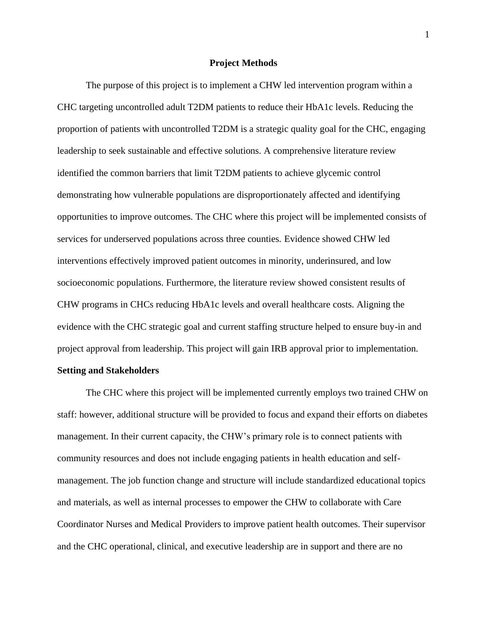## **Project Methods**

The purpose of this project is to implement a CHW led intervention program within a CHC targeting uncontrolled adult T2DM patients to reduce their HbA1c levels. Reducing the proportion of patients with uncontrolled T2DM is a strategic quality goal for the CHC, engaging leadership to seek sustainable and effective solutions. A comprehensive literature review identified the common barriers that limit T2DM patients to achieve glycemic control demonstrating how vulnerable populations are disproportionately affected and identifying opportunities to improve outcomes. The CHC where this project will be implemented consists of services for underserved populations across three counties. Evidence showed CHW led interventions effectively improved patient outcomes in minority, underinsured, and low socioeconomic populations. Furthermore, the literature review showed consistent results of CHW programs in CHCs reducing HbA1c levels and overall healthcare costs. Aligning the evidence with the CHC strategic goal and current staffing structure helped to ensure buy-in and project approval from leadership. This project will gain IRB approval prior to implementation. **Setting and Stakeholders**

The CHC where this project will be implemented currently employs two trained CHW on staff: however, additional structure will be provided to focus and expand their efforts on diabetes management. In their current capacity, the CHW's primary role is to connect patients with community resources and does not include engaging patients in health education and selfmanagement. The job function change and structure will include standardized educational topics and materials, as well as internal processes to empower the CHW to collaborate with Care Coordinator Nurses and Medical Providers to improve patient health outcomes. Their supervisor and the CHC operational, clinical, and executive leadership are in support and there are no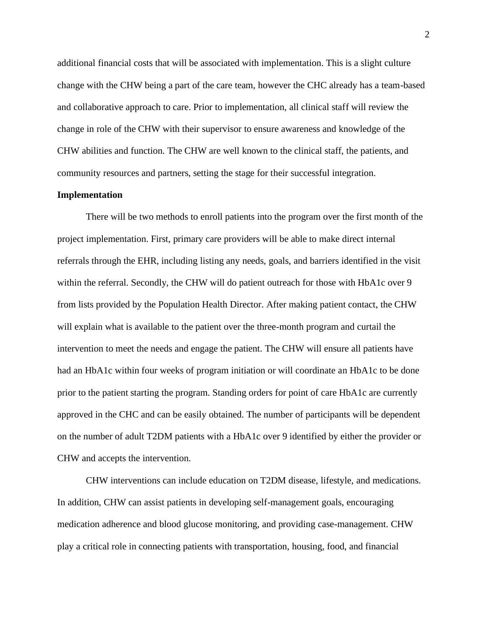additional financial costs that will be associated with implementation. This is a slight culture change with the CHW being a part of the care team, however the CHC already has a team-based and collaborative approach to care. Prior to implementation, all clinical staff will review the change in role of the CHW with their supervisor to ensure awareness and knowledge of the CHW abilities and function. The CHW are well known to the clinical staff, the patients, and community resources and partners, setting the stage for their successful integration.

## **Implementation**

There will be two methods to enroll patients into the program over the first month of the project implementation. First, primary care providers will be able to make direct internal referrals through the EHR, including listing any needs, goals, and barriers identified in the visit within the referral. Secondly, the CHW will do patient outreach for those with HbA1c over 9 from lists provided by the Population Health Director. After making patient contact, the CHW will explain what is available to the patient over the three-month program and curtail the intervention to meet the needs and engage the patient. The CHW will ensure all patients have had an HbA1c within four weeks of program initiation or will coordinate an HbA1c to be done prior to the patient starting the program. Standing orders for point of care HbA1c are currently approved in the CHC and can be easily obtained. The number of participants will be dependent on the number of adult T2DM patients with a HbA1c over 9 identified by either the provider or CHW and accepts the intervention.

CHW interventions can include education on T2DM disease, lifestyle, and medications. In addition, CHW can assist patients in developing self-management goals, encouraging medication adherence and blood glucose monitoring, and providing case-management. CHW play a critical role in connecting patients with transportation, housing, food, and financial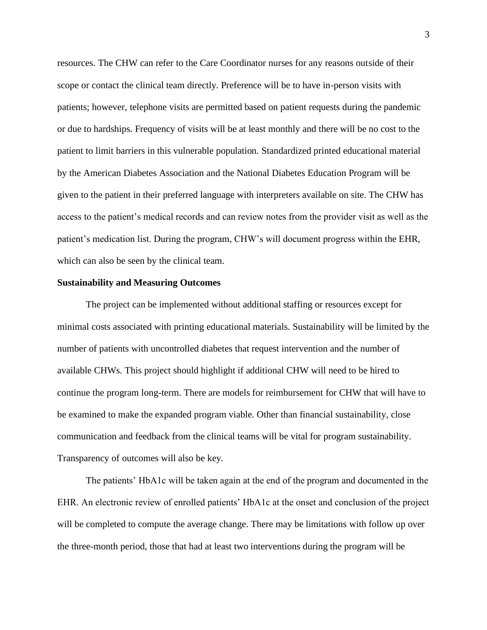resources. The CHW can refer to the Care Coordinator nurses for any reasons outside of their scope or contact the clinical team directly. Preference will be to have in-person visits with patients; however, telephone visits are permitted based on patient requests during the pandemic or due to hardships. Frequency of visits will be at least monthly and there will be no cost to the patient to limit barriers in this vulnerable population. Standardized printed educational material by the American Diabetes Association and the National Diabetes Education Program will be given to the patient in their preferred language with interpreters available on site. The CHW has access to the patient's medical records and can review notes from the provider visit as well as the patient's medication list. During the program, CHW's will document progress within the EHR, which can also be seen by the clinical team.

## **Sustainability and Measuring Outcomes**

The project can be implemented without additional staffing or resources except for minimal costs associated with printing educational materials. Sustainability will be limited by the number of patients with uncontrolled diabetes that request intervention and the number of available CHWs. This project should highlight if additional CHW will need to be hired to continue the program long-term. There are models for reimbursement for CHW that will have to be examined to make the expanded program viable. Other than financial sustainability, close communication and feedback from the clinical teams will be vital for program sustainability. Transparency of outcomes will also be key.

The patients' HbA1c will be taken again at the end of the program and documented in the EHR. An electronic review of enrolled patients' HbA1c at the onset and conclusion of the project will be completed to compute the average change. There may be limitations with follow up over the three-month period, those that had at least two interventions during the program will be